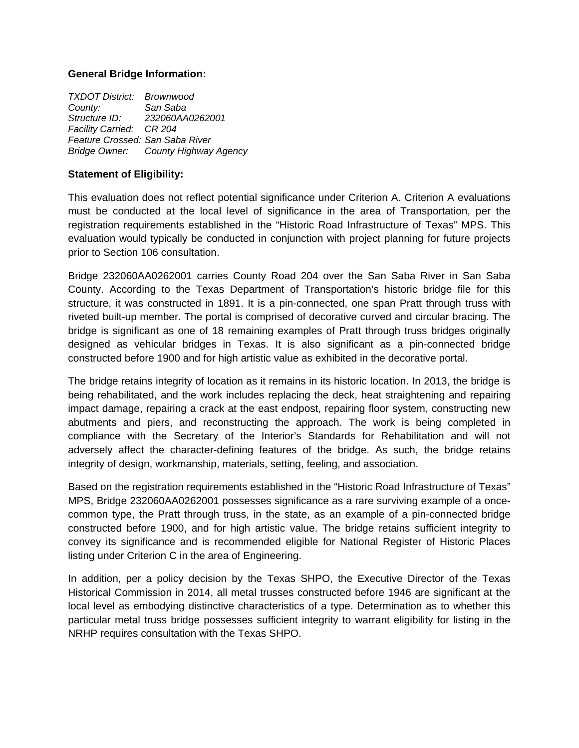### **General Bridge Information:**

| <b>TXDOT District: Brownwood</b> |                                     |
|----------------------------------|-------------------------------------|
| County:                          | San Saba                            |
| Structure ID:                    | 232060AA0262001                     |
| Facility Carried: CR 204         |                                     |
| Feature Crossed: San Saba River  |                                     |
|                                  | Bridge Owner: County Highway Agency |

### **Statement of Eligibility:**

This evaluation does not reflect potential significance under Criterion A. Criterion A evaluations must be conducted at the local level of significance in the area of Transportation, per the registration requirements established in the "Historic Road Infrastructure of Texas" MPS. This evaluation would typically be conducted in conjunction with project planning for future projects prior to Section 106 consultation.

Bridge 232060AA0262001 carries County Road 204 over the San Saba River in San Saba County. According to the Texas Department of Transportation's historic bridge file for this structure, it was constructed in 1891. It is a pin-connected, one span Pratt through truss with riveted built-up member. The portal is comprised of decorative curved and circular bracing. The bridge is significant as one of 18 remaining examples of Pratt through truss bridges originally designed as vehicular bridges in Texas. It is also significant as a pin-connected bridge constructed before 1900 and for high artistic value as exhibited in the decorative portal.

The bridge retains integrity of location as it remains in its historic location. In 2013, the bridge is being rehabilitated, and the work includes replacing the deck, heat straightening and repairing impact damage, repairing a crack at the east endpost, repairing floor system, constructing new abutments and piers, and reconstructing the approach. The work is being completed in compliance with the Secretary of the Interior's Standards for Rehabilitation and will not adversely affect the character-defining features of the bridge. As such, the bridge retains integrity of design, workmanship, materials, setting, feeling, and association.

Based on the registration requirements established in the "Historic Road Infrastructure of Texas" MPS, Bridge 232060AA0262001 possesses significance as a rare surviving example of a oncecommon type, the Pratt through truss, in the state, as an example of a pin-connected bridge constructed before 1900, and for high artistic value. The bridge retains sufficient integrity to convey its significance and is recommended eligible for National Register of Historic Places listing under Criterion C in the area of Engineering.

In addition, per a policy decision by the Texas SHPO, the Executive Director of the Texas Historical Commission in 2014, all metal trusses constructed before 1946 are significant at the local level as embodying distinctive characteristics of a type. Determination as to whether this particular metal truss bridge possesses sufficient integrity to warrant eligibility for listing in the NRHP requires consultation with the Texas SHPO.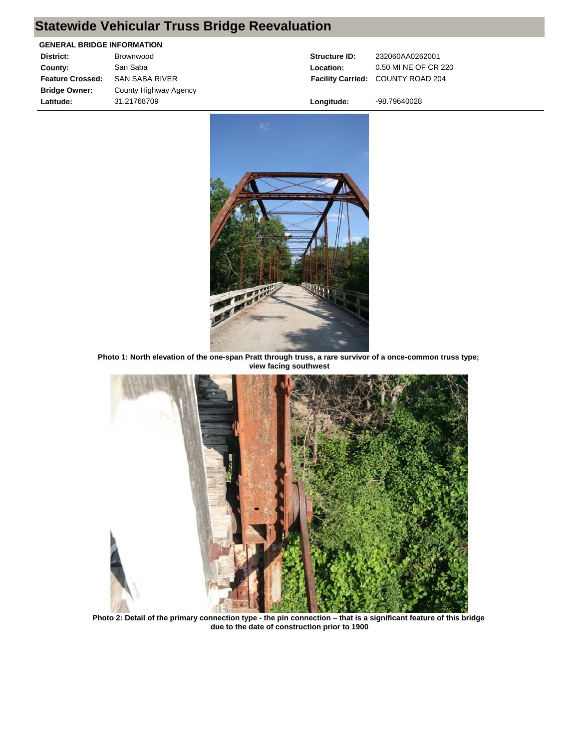# **Statewide Vehicular Truss Bridge Reevaluation**

#### **GENERAL BRIDGE INFORMATION**

| District:               | Brownwood             |
|-------------------------|-----------------------|
| County:                 | San Saba              |
| <b>Feature Crossed:</b> | <b>SAN SABA RIVER</b> |
| <b>Bridge Owner:</b>    | County Highway Agency |
| Latitude:               | 31.21768709           |

**Facility Carried:** COUNTY ROAD 204

**Structure ID:** 232060AA0262001 **Location:** 0.50 MI NE OF CR 220

**Longitude:** -98.79640028



**Photo 1: North elevation of the one-span Pratt through truss, a rare survivor of a once-common truss type; view facing southwest**



**Photo 2: Detail of the primary connection type - the pin connection – that is a significant feature of this bridge due to the date of construction prior to 1900**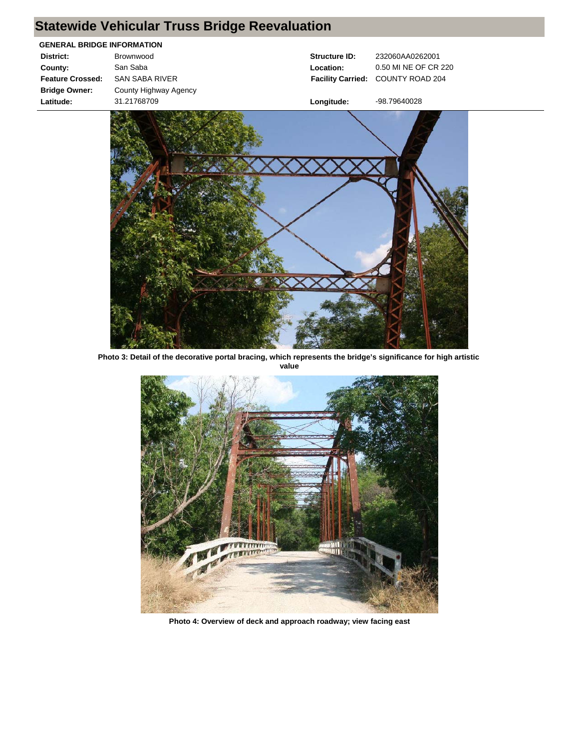# **Statewide Vehicular Truss Bridge Reevaluation**

| <b>GENERAL BRIDGE INFORMATION</b> |  |  |
|-----------------------------------|--|--|
| Brownwood                         |  |  |
| San Saba                          |  |  |
| <b>SAN SABA RIVER</b>             |  |  |
| County Highway Agency             |  |  |
| 31.21768709                       |  |  |
|                                   |  |  |

**Structure ID:** 232060AA0262001 **Facility Carried:** COUNTY ROAD 204 **Location:** 0.50 MI NE OF CR 220

**Longitude:** -98.79640028

**Photo 3: Detail of the decorative portal bracing, which represents the bridge's significance for high artistic value**



**Photo 4: Overview of deck and approach roadway; view facing east**